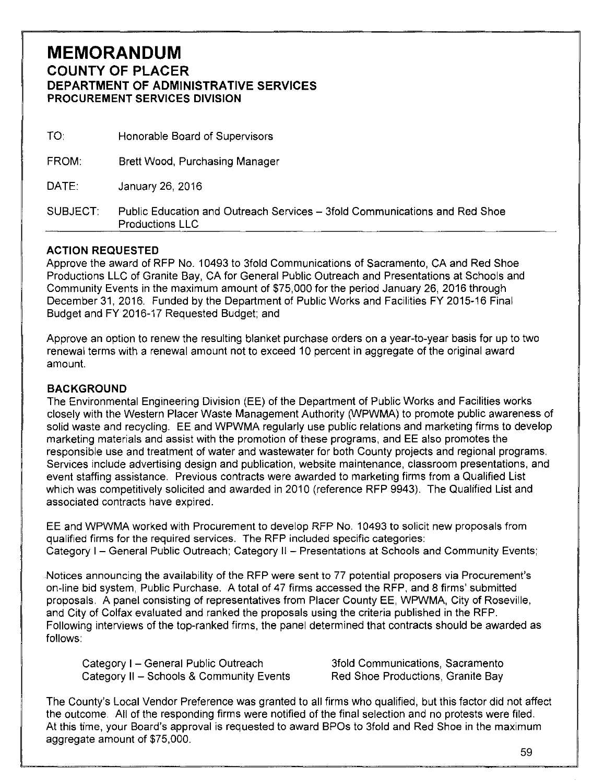## **MEMORANDUM COUNTY OF PLACER DEPARTMENT OF ADMINISTRATIVE SERVICES PROCUREMENT SERVICES DIVISION**

| <b>SUBJECT</b> | Public Education and Outreach Services – 3fold Communications and Red Shoe<br><b>Productions LLC</b> |
|----------------|------------------------------------------------------------------------------------------------------|
| DATE:          | January 26, 2016                                                                                     |
| FROM:          | Brett Wood, Purchasing Manager                                                                       |
| TO:            | Honorable Board of Supervisors                                                                       |

## **ACTION REQUESTED**

Approve the award of RFP No. 10493 to 3fold Communications of Sacramento, CA and Red Shoe Productions LLC of Granite Bay, CA for General Public Outreach and Presentations at Schools and Community Events in the maximum amount of \$75,000 for the period January 26, 2016 through December 31, 2016. Funded by the Department of Public Works and Facilities FY 2015-16 Final Budget and FY 2016-17 Requested Budget; and

Approve an option to renew the resulting blanket purchase orders on a year-to-year basis for up to two renewal terms with a renewal amount not to exceed 10 percent in aggregate of the original award amount.

## **BACKGROUND**

The Environmental Engineering Division (EE) of the Department of Public Works and Facilities works closely with the Western Placer Waste Management Authority (WPWMA) to promote public awareness of solid waste and recycling. EE and WPWMA regularly use public relations and marketing firms to develop marketing materials and assist with the promotion of these programs, and EE also promotes the responsible use and treatment of water and wastewater for both County projects and regional programs. Services include advertising design and publication, website maintenance, classroom presentations, and event staffing assistance. Previous contracts were awarded to marketing firms from a Qualified List which was competitively solicited and awarded in 2010 (reference RFP 9943). The Qualified List and associated contracts have expired.

EE and WPWMA worked with Procurement to develop RFP No. 10493 to solicit new proposals from qualified firms for the required services. The RFP included specific categories: Category I- General Public Outreach; Category II - Presentations at Schools and Community Events;

Notices announcing the availability of the RFP were sent to 77 potential proposers via Procurement's on-line bid system, Public Purchase. A total of 47 firms accessed the RFP, and 8 firms' submitted proposals. A panel consisting of representatives from Placer County EE, WPWMA, City of Roseville, and City of Colfax evaluated and ranked the proposals using the criteria published in the RFP. Following interviews of the top-ranked firms, the panel determined that contracts should be awarded as follows:

Category I - General Public Outreach Category II - Schools & Community Events

3fold Communications, Sacramento Red Shoe Productions, Granite Bay

The County's Local Vendor Preference was granted to all firms who qualified, but this factor did not affect the outcome All of the responding firms were notified of the final selection and no protests were filed. At this time, your Board's approval is requested to award BPOs to 3fold and Red Shoe in the maximum aggregate amount of \$75,000.